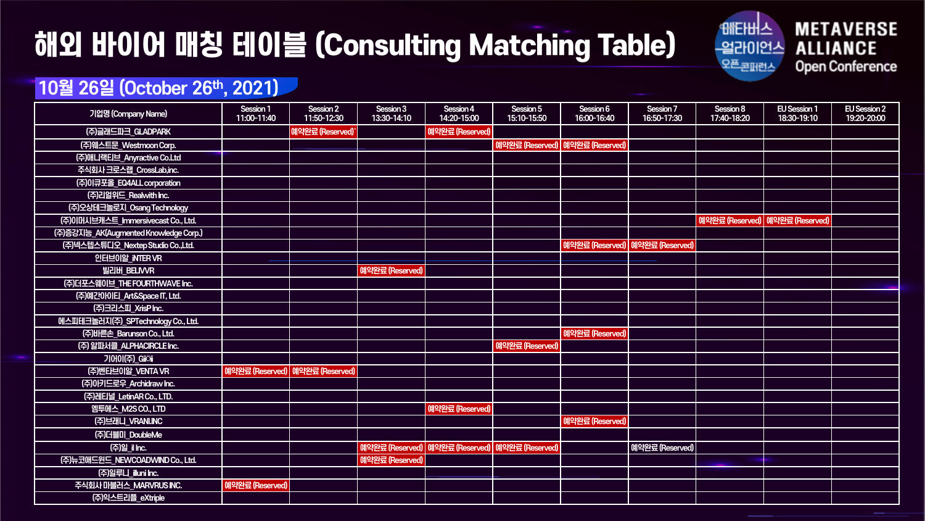# 해외 바이어 매칭 테이블 (Consulting Matching Table)



#### **10월 26일 (October 26th, 2021)**

| 기업명 (Company Name)                    | Session 1<br>11:00-11:40 | Session 2<br>11:50-12:30        | Session 3<br>13:30-14:10 | Session 4<br>14:20-15:00 | Session 5<br>15:10-15:50                        | Session 6<br>16:00-16:40          | Session 7<br>16:50-17:30        | Session 8<br>17:40-18:20 | EU Session 1<br>18:30-19:10     | <b>EU Session 2</b><br>19:20-20:00 |
|---------------------------------------|--------------------------|---------------------------------|--------------------------|--------------------------|-------------------------------------------------|-----------------------------------|---------------------------------|--------------------------|---------------------------------|------------------------------------|
| (주)글래드파크_GLADPARK                     |                          | 예약완료 (Reserved)                 |                          | 예약완료 (Reserved)          |                                                 |                                   |                                 |                          |                                 |                                    |
| (주)웨스트문_Westmoon Corp.                |                          |                                 |                          |                          |                                                 | 예약완료 (Reserved)   예약완료 (Reserved) |                                 |                          |                                 |                                    |
| (주)애니랙티브_Anyractive Co.Ltd            |                          |                                 |                          |                          |                                                 |                                   |                                 |                          |                                 |                                    |
| 주식회사 크로스랩 CrossLab,inc.               |                          |                                 |                          |                          |                                                 |                                   |                                 |                          |                                 |                                    |
| (주)이큐포올_EQ4ALL corporation            |                          |                                 |                          |                          |                                                 |                                   |                                 |                          |                                 |                                    |
| (주)리얼위드_Realwith Inc.                 |                          |                                 |                          |                          |                                                 |                                   |                                 |                          |                                 |                                    |
| (주)오상테크놀로지_Osang Technology           |                          |                                 |                          |                          |                                                 |                                   |                                 |                          |                                 |                                    |
| (주)이머시브캐스트 Immersivecast Co., Ltd.    |                          |                                 |                          |                          |                                                 |                                   |                                 |                          | 예약완료 (Reserved) 예약완료 (Reserved) |                                    |
| (주)증강지능_AK(Augmented Knowledge Corp.) |                          |                                 |                          |                          |                                                 |                                   |                                 |                          |                                 |                                    |
| (주)넥스텝스튜디오 Nextep Studio Co.,Ltd.     |                          |                                 |                          |                          |                                                 |                                   | 예약완료 (Reserved) 예약완료 (Reserved) |                          |                                 |                                    |
| 인터브이알_INTERVR                         |                          |                                 |                          |                          |                                                 |                                   |                                 |                          |                                 |                                    |
| 빌리버 BELIVVR                           |                          |                                 | 예약완료 (Reserved)          |                          |                                                 |                                   |                                 |                          |                                 |                                    |
| (주)더포스웨이브_THE FOURTHWAVE Inc.         |                          |                                 |                          |                          |                                                 |                                   |                                 |                          |                                 |                                    |
| (주)예간아이티_Art&Space IT, Ltd.           |                          |                                 |                          |                          |                                                 |                                   |                                 |                          |                                 |                                    |
| (주)크리스피 XrisP Inc.                    |                          |                                 |                          |                          |                                                 |                                   |                                 |                          |                                 |                                    |
| 에스피테크놀러지(주)_SPTechnology Co., Ltd.    |                          |                                 |                          |                          |                                                 |                                   |                                 |                          |                                 |                                    |
| (주)바른손_Barunson Co., Ltd.             |                          |                                 |                          |                          |                                                 | 예약완료 (Reserved)                   |                                 |                          |                                 |                                    |
| (주) 알파서클_ALPHACIRCLE Inc.             |                          |                                 |                          |                          | 예약완료 (Reserved)                                 |                                   |                                 |                          |                                 |                                    |
| 기어이(주) Gioi                           |                          |                                 |                          |                          |                                                 |                                   |                                 |                          |                                 |                                    |
| (주)벤타브이알_VENTA VR                     |                          | 예약완료 (Reserved) 예약완료 (Reserved) |                          |                          |                                                 |                                   |                                 |                          |                                 |                                    |
| (주) 아키드로우_Archidraw Inc.              |                          |                                 |                          |                          |                                                 |                                   |                                 |                          |                                 |                                    |
| (주)레티널 LetinAR Co., LTD.              |                          |                                 |                          |                          |                                                 |                                   |                                 |                          |                                 |                                    |
| 엠투에스_M2SCO., LTD                      |                          |                                 |                          | 예약완료 (Reserved)          |                                                 |                                   |                                 |                          |                                 |                                    |
| (주)브래니 VRANI.INC                      |                          |                                 |                          |                          |                                                 | 예약완료 (Reserved)                   |                                 |                          |                                 |                                    |
| (주)더블미_DoubleMe                       |                          |                                 |                          |                          |                                                 |                                   |                                 |                          |                                 |                                    |
| (주)일 il Inc.                          |                          |                                 |                          |                          | 예약완료 (Reserved) 예약완료 (Reserved) 예약완료 (Reserved) |                                   | 예약완료 (Reserved)                 |                          |                                 |                                    |
| (주)뉴코애드윈드_NEWCOADWIND Co., Ltd.       |                          |                                 | 예약완료 (Reserved)          |                          |                                                 |                                   |                                 |                          |                                 |                                    |
| (주)일루니 illuni Inc.                    |                          |                                 |                          |                          |                                                 |                                   |                                 |                          |                                 |                                    |
| 주식회사 마블러스 MARVRUS INC.                | 예약완료 (Reserved)          |                                 |                          |                          |                                                 |                                   |                                 |                          |                                 |                                    |
| (주)익스트리플_eXtriple                     |                          |                                 |                          |                          |                                                 |                                   |                                 |                          |                                 |                                    |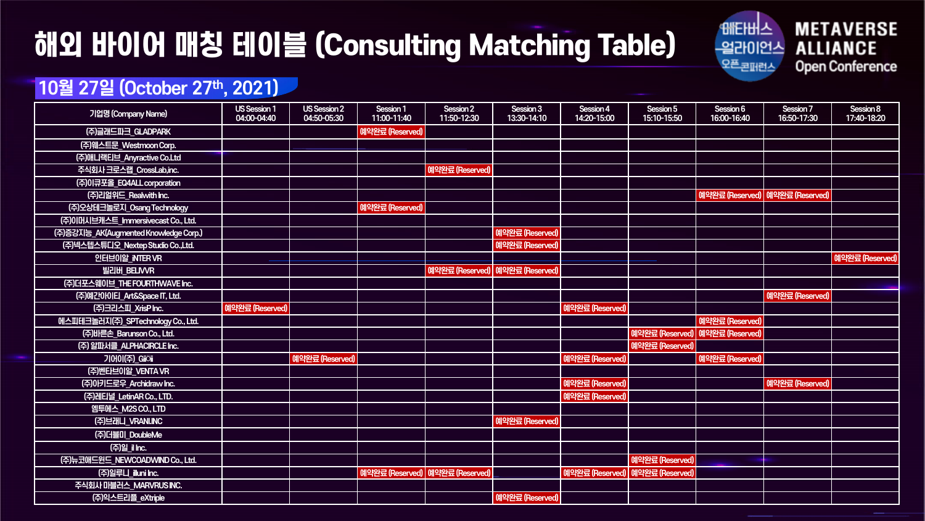# 해외 바이어 매칭 테이블 (Consulting Matching Table)



#### **10월 27일 (October 27th, 2021)**

| 기업명 (Company Name)                    | <b>US Session 1</b><br>04:00-04:40 | <b>US Session 2</b><br>04:50-05:30 | Session 1<br>11:00-11:40 | Session 2<br>11:50-12:30        | Session 3<br>13:30-14:10        | Session 4<br>14:20-15:00 | Session 5<br>15:10-15:50        | Session 6<br>16:00-16:40 | Session 7<br>16:50-17:30        | Session 8<br>17:40-18:20 |
|---------------------------------------|------------------------------------|------------------------------------|--------------------------|---------------------------------|---------------------------------|--------------------------|---------------------------------|--------------------------|---------------------------------|--------------------------|
| (주)글래드파크 GLADPARK                     |                                    |                                    | 예약완료 (Reserved)          |                                 |                                 |                          |                                 |                          |                                 |                          |
| (주)웨스트문_Westmoon Corp.                |                                    |                                    |                          |                                 |                                 |                          |                                 |                          |                                 |                          |
| (주)애니랙티브_Anyractive Co.Ltd            |                                    |                                    |                          |                                 |                                 |                          |                                 |                          |                                 |                          |
| 주식회사 크로스랩 CrossLab,inc.               |                                    |                                    |                          | 예약완료 (Reserved)                 |                                 |                          |                                 |                          |                                 |                          |
| (주)이큐포올_EQ4ALL corporation            |                                    |                                    |                          |                                 |                                 |                          |                                 |                          |                                 |                          |
| (주)리얼위드_Realwith Inc.                 |                                    |                                    |                          |                                 |                                 |                          |                                 |                          | 예약완료 (Reserved) 예약완료 (Reserved) |                          |
| (주)오상테크놀로지_Osang Technology           |                                    |                                    | 예약완료 (Reserved)          |                                 |                                 |                          |                                 |                          |                                 |                          |
| (주)이머시브캐스트 Immersivecast Co., Ltd.    |                                    |                                    |                          |                                 |                                 |                          |                                 |                          |                                 |                          |
| (주)증강지능_AK(Augmented Knowledge Corp.) |                                    |                                    |                          |                                 | 예약완료 (Reserved)                 |                          |                                 |                          |                                 |                          |
| (주)넥스텝스튜디오 Nextep Studio Co.,Ltd.     |                                    |                                    |                          |                                 | 예약완료 (Reserved                  |                          |                                 |                          |                                 |                          |
| 인터브이알 iNTER VR                        |                                    |                                    |                          |                                 |                                 |                          |                                 |                          |                                 | 예약완료 (Reserved)          |
| 빌리버_BELIVVR                           |                                    |                                    |                          |                                 | 예약완료 (Reserved) 예약완료 (Reserved) |                          |                                 |                          |                                 |                          |
| (주)더포스웨이브_THE FOURTHWAVE Inc.         |                                    |                                    |                          |                                 |                                 |                          |                                 |                          |                                 |                          |
| (주)예간아이티_Art&Space IT, Ltd.           |                                    |                                    |                          |                                 |                                 |                          |                                 |                          | 예약완료 (Reserved)                 |                          |
| (주)크리스피 XrisPInc.                     | 예약완료 (Reserved)                    |                                    |                          |                                 |                                 | 예약완료 (Reserved)          |                                 |                          |                                 |                          |
| 에스피테크놀러지(주)_SPTechnology Co., Ltd.    |                                    |                                    |                          |                                 |                                 |                          |                                 | 예약완료 (Reserved)          |                                 |                          |
| (주)바른손 Barunson Co., Ltd.             |                                    |                                    |                          |                                 |                                 |                          | 예약완료 (Reserved) 예약완료 (Reserved) |                          |                                 |                          |
| (주) 알파서클 ALPHACIRCLE Inc.             |                                    |                                    |                          |                                 |                                 |                          | 예약완료 (Reserved)                 |                          |                                 |                          |
| 기어이(주) Gioi                           |                                    | 예약완료 (Reserved)                    |                          |                                 |                                 | 예약완료 (Reserved)          |                                 | 예약완료 (Reserved)          |                                 |                          |
| (주)벤타브이알_VENTA VR                     |                                    |                                    |                          |                                 |                                 |                          |                                 |                          |                                 |                          |
| (주) 아키드로우_Archidraw Inc.              |                                    |                                    |                          |                                 |                                 | 예약완료 (Reserved)          |                                 |                          | 예약완료 (Reserved)                 |                          |
| (주)레티널 LetinAR Co., LTD.              |                                    |                                    |                          |                                 |                                 | 예약완료 (Reserved)          |                                 |                          |                                 |                          |
| 엠투에스_M2SCO., LTD                      |                                    |                                    |                          |                                 |                                 |                          |                                 |                          |                                 |                          |
| (주)브래니 VRANI.INC                      |                                    |                                    |                          |                                 | 예약완료 (Reserved)                 |                          |                                 |                          |                                 |                          |
| (주)더블미_DoubleMe                       |                                    |                                    |                          |                                 |                                 |                          |                                 |                          |                                 |                          |
| (주)일 ilhc.                            |                                    |                                    |                          |                                 |                                 |                          |                                 |                          |                                 |                          |
| (주)뉴코애드윈드_NEWCOADWIND Co., Ltd.       |                                    |                                    |                          |                                 |                                 |                          | 예약완료 (Reserved)                 |                          |                                 |                          |
| (주)일루니 illuni Inc.                    |                                    |                                    |                          | 예약완료 (Reserved) 예약완료 (Reserved) |                                 |                          | 예약완료 (Reserved) 예약완료 (Reserved) |                          |                                 |                          |
| 주식회사 마블러스 MARVRUS INC.                |                                    |                                    |                          |                                 |                                 |                          |                                 |                          |                                 |                          |
| (주)익스트리플_eXtriple                     |                                    |                                    |                          |                                 | 예약완료 (Reserved)                 |                          |                                 |                          |                                 |                          |